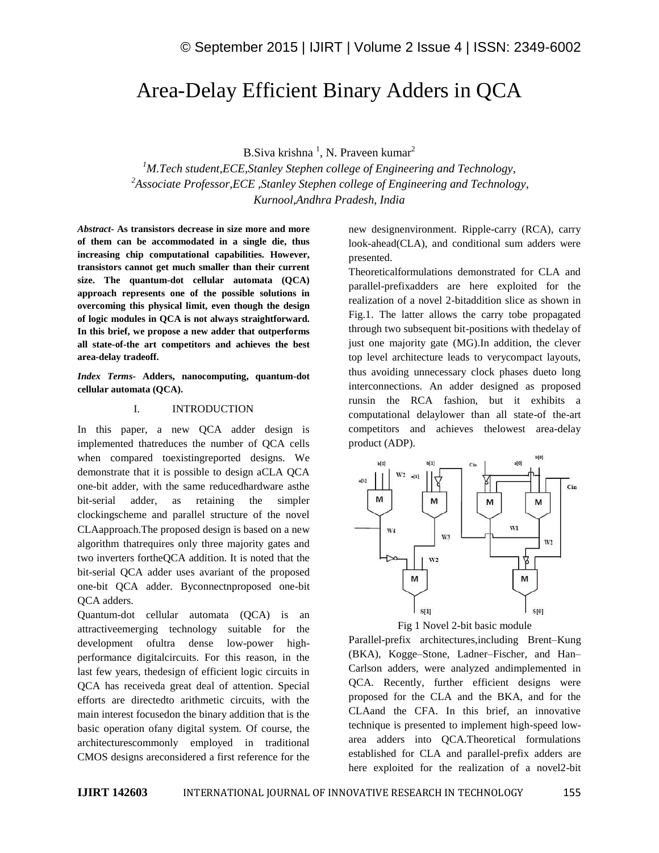# Area-Delay Efficient Binary Adders in QCA

B.Siva krishna<sup>1</sup>, N. Praveen kumar<sup>2</sup>

*<sup>1</sup>M.Tech student,ECE,Stanley Stephen college of Engineering and Technology, <sup>2</sup>Associate Professor,ECE ,Stanley Stephen college of Engineering and Technology, Kurnool,Andhra Pradesh, India*

*Abstract-* **As transistors decrease in size more and more of them can be accommodated in a single die, thus increasing chip computational capabilities. However, transistors cannot get much smaller than their current size. The quantum-dot cellular automata (QCA) approach represents one of the possible solutions in overcoming this physical limit, even though the design of logic modules in QCA is not always straightforward. In this brief, we propose a new adder that outperforms all state-of-the art competitors and achieves the best area-delay tradeoff.**

*Index Terms-* **Adders, nanocomputing, quantum-dot cellular automata (QCA).**

### I. INTRODUCTION

In this paper, a new QCA adder design is implemented thatreduces the number of QCA cells when compared toexistingreported designs. We demonstrate that it is possible to design aCLA QCA one-bit adder, with the same reducedhardware asthe bit-serial adder, as retaining the simpler clockingscheme and parallel structure of the novel CLAapproach.The proposed design is based on a new algorithm thatrequires only three majority gates and two inverters fortheQCA addition. It is noted that the bit-serial QCA adder uses avariant of the proposed one-bit QCA adder. Byconnectnproposed one-bit QCA adders.

Quantum-dot cellular automata (QCA) is an attractiveemerging technology suitable for the development ofultra dense low-power highperformance digitalcircuits. For this reason, in the last few years, thedesign of efficient logic circuits in QCA has receiveda great deal of attention. Special efforts are directedto arithmetic circuits, with the main interest focusedon the binary addition that is the basic operation ofany digital system. Of course, the architecturescommonly employed in traditional CMOS designs areconsidered a first reference for the new designenvironment. Ripple-carry (RCA), carry look-ahead(CLA), and conditional sum adders were presented.

Theoreticalformulations demonstrated for CLA and parallel-prefixadders are here exploited for the realization of a novel 2-bitaddition slice as shown in Fig.1. The latter allows the carry tobe propagated through two subsequent bit-positions with thedelay of just one majority gate (MG).In addition, the clever top level architecture leads to verycompact layouts, thus avoiding unnecessary clock phases dueto long interconnections. An adder designed as proposed runsin the RCA fashion, but it exhibits a computational delaylower than all state-of the-art competitors and achieves thelowest area-delay product (ADP).



Fig 1 Novel 2-bit basic module

Parallel-prefix architectures,including Brent–Kung (BKA), Kogge–Stone, Ladner–Fischer, and Han– Carlson adders, were analyzed andimplemented in QCA. Recently, further efficient designs were proposed for the CLA and the BKA, and for the CLAand the CFA. In this brief, an innovative technique is presented to implement high-speed lowarea adders into QCA.Theoretical formulations established for CLA and parallel-prefix adders are here exploited for the realization of a novel2-bit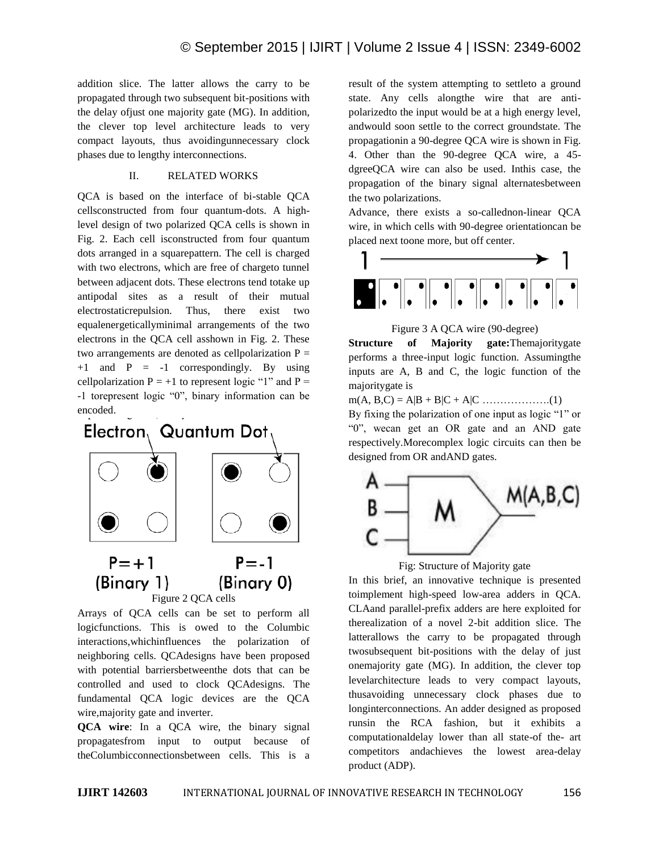addition slice. The latter allows the carry to be propagated through two subsequent bit-positions with the delay ofjust one majority gate (MG). In addition, the clever top level architecture leads to very compact layouts, thus avoidingunnecessary clock phases due to lengthy interconnections.

### II. RELATED WORKS

QCA is based on the interface of bi-stable QCA cellsconstructed from four quantum-dots. A highlevel design of two polarized QCA cells is shown in Fig. 2. Each cell isconstructed from four quantum dots arranged in a squarepattern. The cell is charged with two electrons, which are free of chargeto tunnel between adjacent dots. These electrons tend totake up antipodal sites as a result of their mutual electrostaticrepulsion. Thus, there exist two equalenergeticallyminimal arrangements of the two electrons in the QCA cell asshown in Fig. 2. These two arrangements are denoted as cellpolarization  $P =$  $+1$  and  $P = -1$  correspondingly. By using cellpolarization  $P = +1$  to represent logic "1" and  $P =$ -1 torepresent logic "0", binary information can be encoded.



Arrays of QCA cells can be set to perform all logicfunctions. This is owed to the Columbic interactions,whichinfluences the polarization of neighboring cells. QCAdesigns have been proposed with potential barriersbetweenthe dots that can be controlled and used to clock QCAdesigns. The fundamental QCA logic devices are the QCA wire,majority gate and inverter.

**QCA wire**: In a QCA wire, the binary signal propagatesfrom input to output because of theColumbicconnectionsbetween cells. This is a result of the system attempting to settleto a ground state. Any cells alongthe wire that are antipolarizedto the input would be at a high energy level, andwould soon settle to the correct groundstate. The propagationin a 90-degree QCA wire is shown in Fig. 4. Other than the 90-degree QCA wire, a 45 dgreeQCA wire can also be used. Inthis case, the propagation of the binary signal alternatesbetween the two polarizations.

Advance, there exists a so-callednon-linear QCA wire, in which cells with 90-degree orientationcan be placed next toone more, but off center.



Figure 3 A QCA wire (90-degree)

**Structure of Majority gate:**Themajoritygate performs a three-input logic function. Assumingthe inputs are A, B and C, the logic function of the majoritygate is

m(A, B,C) = A|B + B|C + A|C ……………….(1)

By fixing the polarization of one input as logic "1" or "0", wecan get an OR gate and an AND gate respectively.Morecomplex logic circuits can then be designed from OR andAND gates.



Fig: Structure of Majority gate

In this brief, an innovative technique is presented toimplement high-speed low-area adders in QCA. CLAand parallel-prefix adders are here exploited for therealization of a novel 2-bit addition slice. The latterallows the carry to be propagated through twosubsequent bit-positions with the delay of just onemajority gate (MG). In addition, the clever top levelarchitecture leads to very compact layouts, thusavoiding unnecessary clock phases due to longinterconnections. An adder designed as proposed runsin the RCA fashion, but it exhibits a computationaldelay lower than all state-of the- art competitors andachieves the lowest area-delay product (ADP).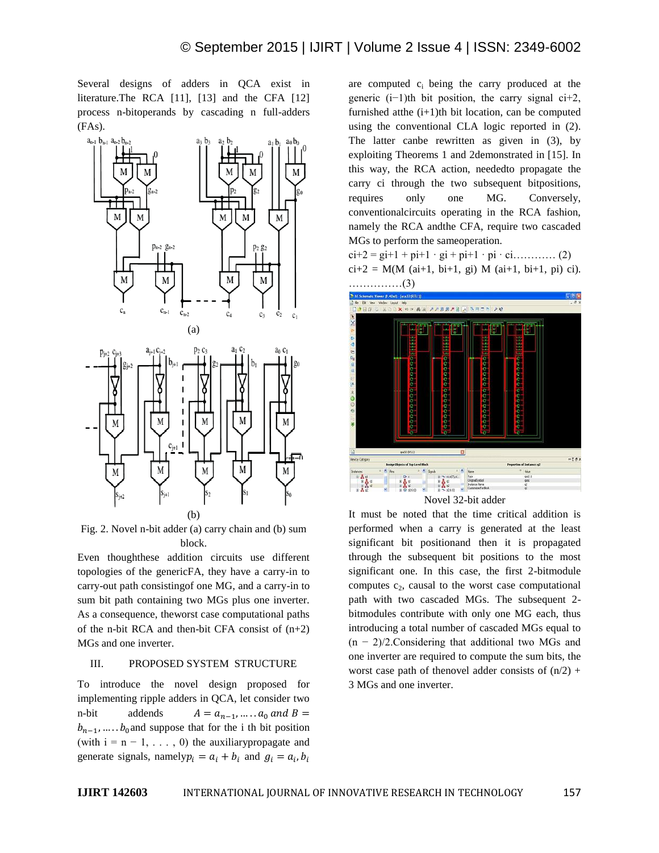Several designs of adders in QCA exist in literature.The RCA [11], [13] and the CFA [12] process n-bitoperands by cascading n full-adders (FAs).



Fig. 2. Novel n-bit adder (a) carry chain and (b) sum block.

Even thoughthese addition circuits use different topologies of the genericFA, they have a carry-in to carry-out path consistingof one MG, and a carry-in to sum bit path containing two MGs plus one inverter. As a consequence, theworst case computational paths of the n-bit RCA and then-bit CFA consist of  $(n+2)$ MGs and one inverter.

### III. PROPOSED SYSTEM STRUCTURE

To introduce the novel design proposed for implementing ripple adders in QCA, let consider two n-bit addends  $A = a_{n-1}, \dots, a_0$  and  $B =$  $b_{n-1}$ , ...  $b_0$  and suppose that for the i th bit position (with  $i = n - 1, \ldots, 0$ ) the auxiliary propagate and generate signals, namely  $p_i = a_i + b_i$  and  $g_i = a_i$ ,

are computed  $c_i$  being the carry produced at the generic (i−1)th bit position, the carry signal ci+2, furnished at the  $(i+1)$ th bit location, can be computed using the conventional CLA logic reported in (2). The latter canbe rewritten as given in (3), by exploiting Theorems 1 and 2demonstrated in [15]. In this way, the RCA action, neededto propagate the carry ci through the two subsequent bitpositions, requires only one MG. Conversely, conventionalcircuits operating in the RCA fashion, namely the RCA andthe CFA, require two cascaded MGs to perform the sameoperation.

 $ci+2 = gi+1 + pi+1 \cdot gi + pi+1 \cdot pi \cdot ci...$  (2)  $ci+2 = M(M (ai+1, bi+1, gi) M (ai+1, bi+1, pi) ci).$ 



It must be noted that the time critical addition is performed when a carry is generated at the least significant bit positionand then it is propagated through the subsequent bit positions to the most significant one. In this case, the first 2-bitmodule computes  $c_2$ , causal to the worst case computational path with two cascaded MGs. The subsequent 2 bitmodules contribute with only one MG each, thus introducing a total number of cascaded MGs equal to (n − 2)/2.Considering that additional two MGs and one inverter are required to compute the sum bits, the worst case path of thenovel adder consists of  $(n/2)$  + 3 MGs and one inverter.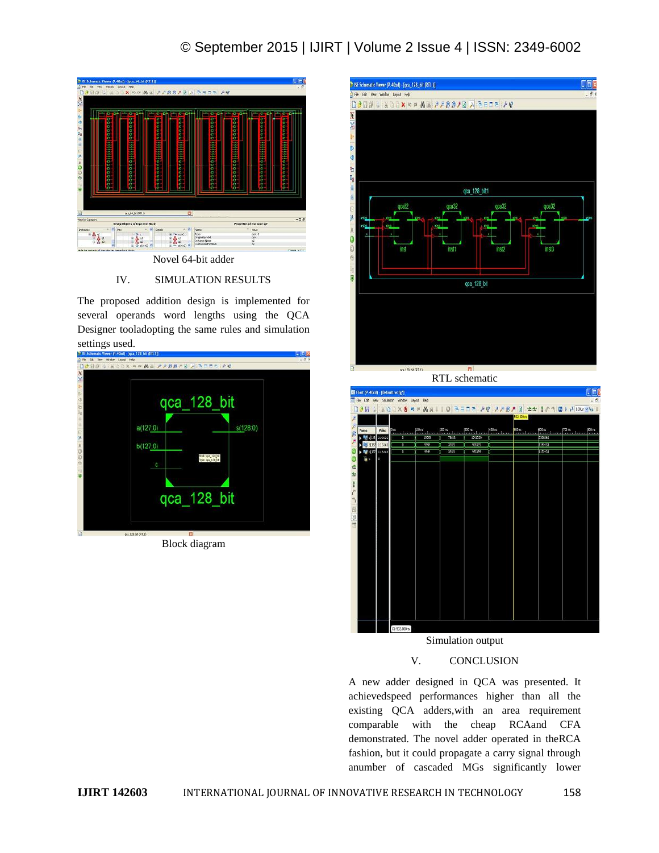## © September 2015 | IJIRT | Volume 2 Issue 4 | ISSN: 2349-6002



Novel 64-bit adder

### IV. SIMULATION RESULTS

The proposed addition design is implemented for several operands word lengths using the QCA Designer tooladopting the same rules and simulation settings used.



Block diagram



RTL schematic



# Simulation output

### V. CONCLUSION

A new adder designed in QCA was presented. It achievedspeed performances higher than all the existing QCA adders,with an area requirement comparable with the cheap RCAand CFA demonstrated. The novel adder operated in theRCA fashion, but it could propagate a carry signal through anumber of cascaded MGs significantly lower